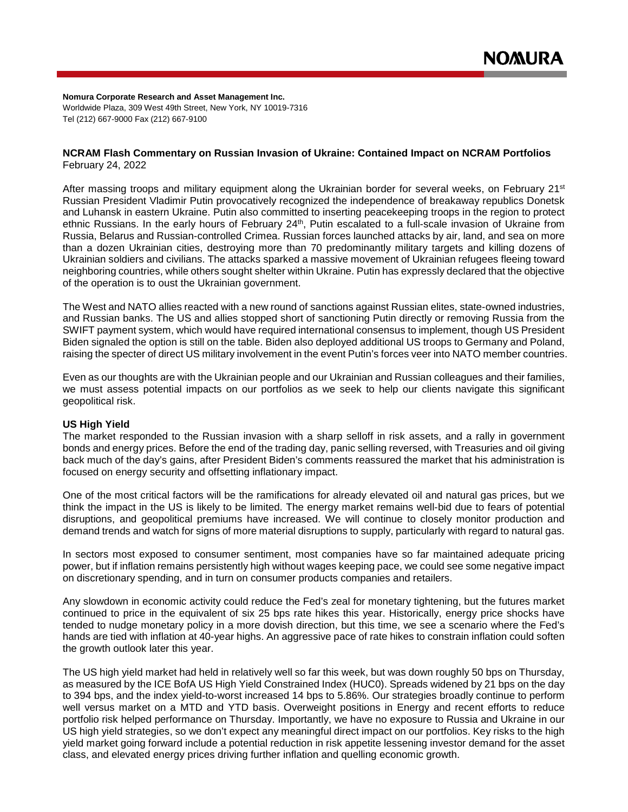**Nomura Corporate Research and Asset Management Inc.** Worldwide Plaza, 309 West 49th Street, New York, NY 10019-7316 Tel (212) 667-9000 Fax (212) 667-9100

### **NCRAM Flash Commentary on Russian Invasion of Ukraine: Contained Impact on NCRAM Portfolios** February 24, 2022

After massing troops and military equipment along the Ukrainian border for several weeks, on February 21<sup>st</sup> Russian President Vladimir Putin provocatively recognized the independence of breakaway republics Donetsk and Luhansk in eastern Ukraine. Putin also committed to inserting peacekeeping troops in the region to protect ethnic Russians. In the early hours of February 24<sup>th</sup>, Putin escalated to a full-scale invasion of Ukraine from Russia, Belarus and Russian-controlled Crimea. Russian forces launched attacks by air, land, and sea on more than a dozen Ukrainian cities, destroying more than 70 predominantly military targets and killing dozens of Ukrainian soldiers and civilians. The attacks sparked a massive movement of Ukrainian refugees fleeing toward neighboring countries, while others sought shelter within Ukraine. Putin has expressly declared that the objective of the operation is to oust the Ukrainian government.

The West and NATO allies reacted with a new round of sanctions against Russian elites, state-owned industries, and Russian banks. The US and allies stopped short of sanctioning Putin directly or removing Russia from the SWIFT payment system, which would have required international consensus to implement, though US President Biden signaled the option is still on the table. Biden also deployed additional US troops to Germany and Poland, raising the specter of direct US military involvement in the event Putin's forces veer into NATO member countries.

Even as our thoughts are with the Ukrainian people and our Ukrainian and Russian colleagues and their families, we must assess potential impacts on our portfolios as we seek to help our clients navigate this significant geopolitical risk.

# **US High Yield**

The market responded to the Russian invasion with a sharp selloff in risk assets, and a rally in government bonds and energy prices. Before the end of the trading day, panic selling reversed, with Treasuries and oil giving back much of the day's gains, after President Biden's comments reassured the market that his administration is focused on energy security and offsetting inflationary impact.

One of the most critical factors will be the ramifications for already elevated oil and natural gas prices, but we think the impact in the US is likely to be limited. The energy market remains well-bid due to fears of potential disruptions, and geopolitical premiums have increased. We will continue to closely monitor production and demand trends and watch for signs of more material disruptions to supply, particularly with regard to natural gas.

In sectors most exposed to consumer sentiment, most companies have so far maintained adequate pricing power, but if inflation remains persistently high without wages keeping pace, we could see some negative impact on discretionary spending, and in turn on consumer products companies and retailers.

Any slowdown in economic activity could reduce the Fed's zeal for monetary tightening, but the futures market continued to price in the equivalent of six 25 bps rate hikes this year. Historically, energy price shocks have tended to nudge monetary policy in a more dovish direction, but this time, we see a scenario where the Fed's hands are tied with inflation at 40-year highs. An aggressive pace of rate hikes to constrain inflation could soften the growth outlook later this year.

The US high yield market had held in relatively well so far this week, but was down roughly 50 bps on Thursday, as measured by the ICE BofA US High Yield Constrained Index (HUC0). Spreads widened by 21 bps on the day to 394 bps, and the index yield-to-worst increased 14 bps to 5.86%. Our strategies broadly continue to perform well versus market on a MTD and YTD basis. Overweight positions in Energy and recent efforts to reduce portfolio risk helped performance on Thursday. Importantly, we have no exposure to Russia and Ukraine in our US high yield strategies, so we don't expect any meaningful direct impact on our portfolios. Key risks to the high yield market going forward include a potential reduction in risk appetite lessening investor demand for the asset class, and elevated energy prices driving further inflation and quelling economic growth.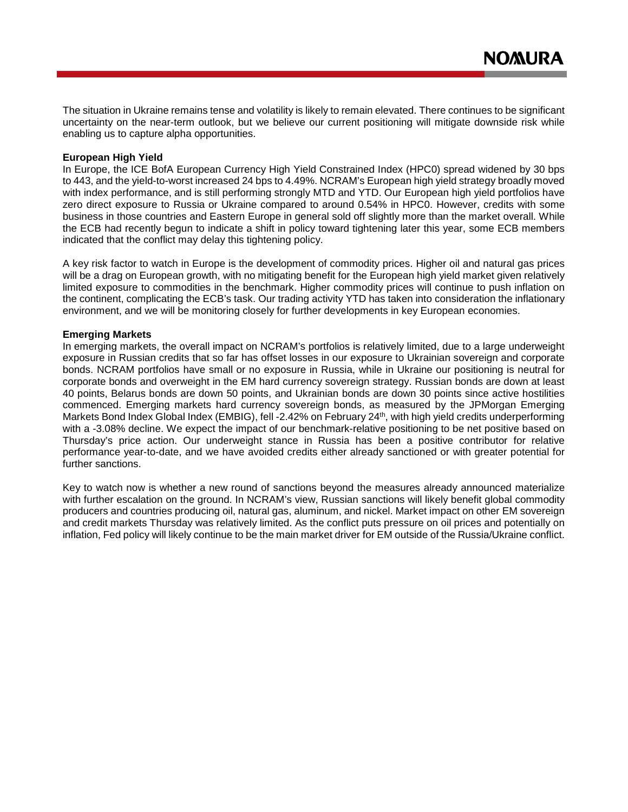The situation in Ukraine remains tense and volatility is likely to remain elevated. There continues to be significant uncertainty on the near-term outlook, but we believe our current positioning will mitigate downside risk while enabling us to capture alpha opportunities.

### **European High Yield**

In Europe, the ICE BofA European Currency High Yield Constrained Index (HPC0) spread widened by 30 bps to 443, and the yield-to-worst increased 24 bps to 4.49%. NCRAM's European high yield strategy broadly moved with index performance, and is still performing strongly MTD and YTD. Our European high yield portfolios have zero direct exposure to Russia or Ukraine compared to around 0.54% in HPC0. However, credits with some business in those countries and Eastern Europe in general sold off slightly more than the market overall. While the ECB had recently begun to indicate a shift in policy toward tightening later this year, some ECB members indicated that the conflict may delay this tightening policy.

A key risk factor to watch in Europe is the development of commodity prices. Higher oil and natural gas prices will be a drag on European growth, with no mitigating benefit for the European high yield market given relatively limited exposure to commodities in the benchmark. Higher commodity prices will continue to push inflation on the continent, complicating the ECB's task. Our trading activity YTD has taken into consideration the inflationary environment, and we will be monitoring closely for further developments in key European economies.

### **Emerging Markets**

In emerging markets, the overall impact on NCRAM's portfolios is relatively limited, due to a large underweight exposure in Russian credits that so far has offset losses in our exposure to Ukrainian sovereign and corporate bonds. NCRAM portfolios have small or no exposure in Russia, while in Ukraine our positioning is neutral for corporate bonds and overweight in the EM hard currency sovereign strategy. Russian bonds are down at least 40 points, Belarus bonds are down 50 points, and Ukrainian bonds are down 30 points since active hostilities commenced. Emerging markets hard currency sovereign bonds, as measured by the JPMorgan Emerging Markets Bond Index Global Index (EMBIG), fell -2.42% on February 24<sup>th</sup>, with high yield credits underperforming with a -3.08% decline. We expect the impact of our benchmark-relative positioning to be net positive based on Thursday's price action. Our underweight stance in Russia has been a positive contributor for relative performance year-to-date, and we have avoided credits either already sanctioned or with greater potential for further sanctions.

Key to watch now is whether a new round of sanctions beyond the measures already announced materialize with further escalation on the ground. In NCRAM's view, Russian sanctions will likely benefit global commodity producers and countries producing oil, natural gas, aluminum, and nickel. Market impact on other EM sovereign and credit markets Thursday was relatively limited. As the conflict puts pressure on oil prices and potentially on inflation, Fed policy will likely continue to be the main market driver for EM outside of the Russia/Ukraine conflict.